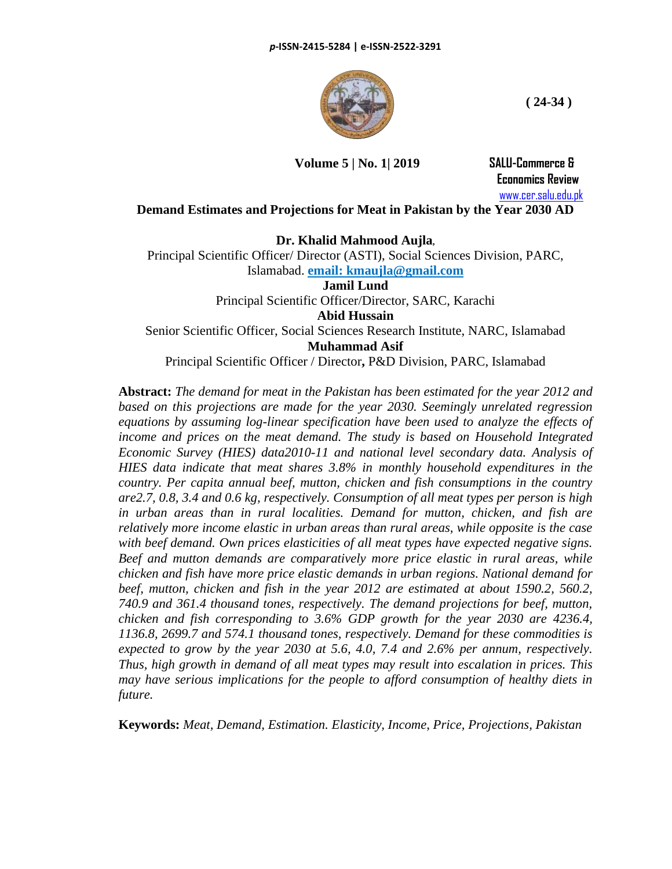

**Volume 5 | No. 1| 2019 SALU-Commerce &**

 **Economics Review** [www.cer.salu.edu.pk](http://www.cer.salu.edu.pk/)

**Demand Estimates and Projections for Meat in Pakistan by the Year 2030 AD**

### **Dr. Khalid Mahmood Aujla,**

Principal Scientific Officer/ Director (ASTI), Social Sciences Division, PARC, Islamabad. **email: kmaujla@gmail.com**

**Jamil Lund**

Principal Scientific Officer/Director, SARC, Karachi

**Abid Hussain**

Senior Scientific Officer, Social Sciences Research Institute, NARC, Islamabad **Muhammad Asif**

Principal Scientific Officer / Director**,** P&D Division, PARC, Islamabad

**Abstract:** *The demand for meat in the Pakistan has been estimated for the year 2012 and based on this projections are made for the year 2030. Seemingly unrelated regression equations by assuming log-linear specification have been used to analyze the effects of income and prices on the meat demand. The study is based on Household Integrated Economic Survey (HIES) data2010-11 and national level secondary data. Analysis of HIES data indicate that meat shares 3.8% in monthly household expenditures in the country. Per capita annual beef, mutton, chicken and fish consumptions in the country are2.7, 0.8, 3.4 and 0.6 kg, respectively. Consumption of all meat types per person is high in urban areas than in rural localities. Demand for mutton, chicken, and fish are relatively more income elastic in urban areas than rural areas, while opposite is the case with beef demand. Own prices elasticities of all meat types have expected negative signs. Beef and mutton demands are comparatively more price elastic in rural areas, while chicken and fish have more price elastic demands in urban regions. National demand for beef, mutton, chicken and fish in the year 2012 are estimated at about 1590.2, 560.2, 740.9 and 361.4 thousand tones, respectively. The demand projections for beef, mutton, chicken and fish corresponding to 3.6% GDP growth for the year 2030 are 4236.4, 1136.8, 2699.7 and 574.1 thousand tones, respectively. Demand for these commodities is expected to grow by the year 2030 at 5.6, 4.0, 7.4 and 2.6% per annum, respectively. Thus, high growth in demand of all meat types may result into escalation in prices. This may have serious implications for the people to afford consumption of healthy diets in future.*

**Keywords:** *Meat, Demand, Estimation. Elasticity, Income, Price, Projections, Pakistan*

**( 24-34 )**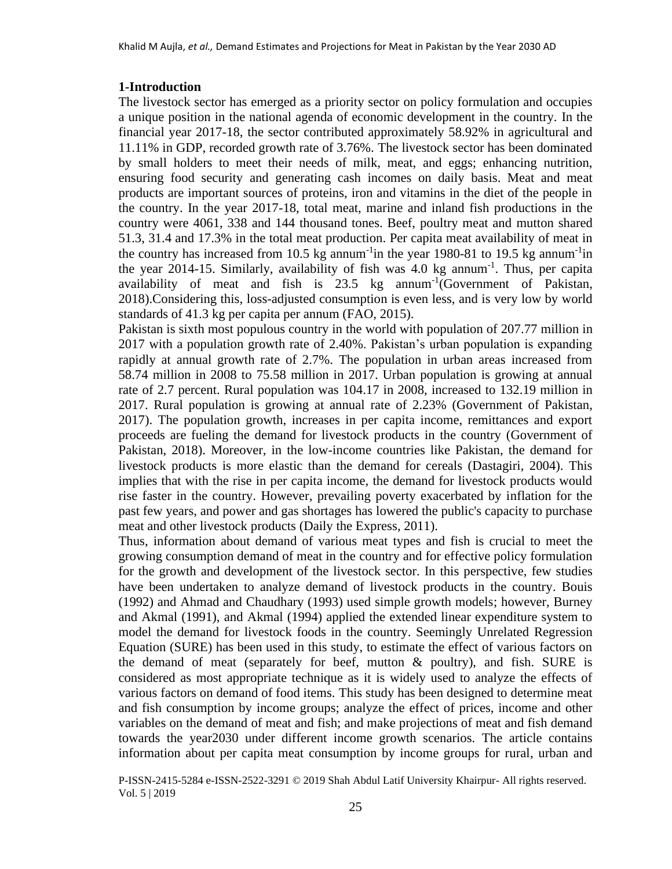### **1-Introduction**

The livestock sector has emerged as a priority sector on policy formulation and occupies a unique position in the national agenda of economic development in the country. In the financial year 2017-18, the sector contributed approximately 58.92% in agricultural and 11.11% in GDP, recorded growth rate of 3.76%. The livestock sector has been dominated by small holders to meet their needs of milk, meat, and eggs; enhancing nutrition, ensuring food security and generating cash incomes on daily basis. Meat and meat products are important sources of proteins, iron and vitamins in the diet of the people in the country. In the year 2017-18, total meat, marine and inland fish productions in the country were 4061, 338 and 144 thousand tones. Beef, poultry meat and mutton shared 51.3, 31.4 and 17.3% in the total meat production. Per capita meat availability of meat in the country has increased from 10.5 kg annum<sup>-1</sup>in the year 1980-81 to 19.5 kg annum<sup>-1</sup>in the year 2014-15. Similarly, availability of fish was 4.0 kg annum<sup>-1</sup>. Thus, per capita availability of meat and fish is  $23.5$  kg annum<sup>-1</sup>(Government of Pakistan, 2018).Considering this, loss-adjusted consumption is even less, and is very low by world standards of 41.3 kg per capita per annum (FAO, 2015).

Pakistan is sixth most populous country in the world with population of 207.77 million in 2017 with a population growth rate of 2.40%. Pakistan's urban population is expanding rapidly at annual growth rate of 2.7%. The population in urban areas increased from 58.74 million in 2008 to 75.58 million in 2017. Urban population is growing at annual rate of 2.7 percent. Rural population was 104.17 in 2008, increased to 132.19 million in 2017. Rural population is growing at annual rate of 2.23% (Government of Pakistan, 2017). The population growth, increases in per capita income, remittances and export proceeds are fueling the demand for livestock products in the country (Government of Pakistan, 2018). Moreover, in the low-income countries like Pakistan, the demand for livestock products is more elastic than the demand for cereals (Dastagiri, 2004). This implies that with the rise in per capita income, the demand for livestock products would rise faster in the country. However, prevailing poverty exacerbated by inflation for the past few years, and power and gas shortages has lowered the public's capacity to purchase meat and other livestock products (Daily the Express, 2011).

Thus, information about demand of various meat types and fish is crucial to meet the growing consumption demand of meat in the country and for effective policy formulation for the growth and development of the livestock sector. In this perspective, few studies have been undertaken to analyze demand of livestock products in the country. Bouis (1992) and Ahmad and Chaudhary (1993) used simple growth models; however, Burney and Akmal (1991), and Akmal (1994) applied the extended linear expenditure system to model the demand for livestock foods in the country. Seemingly Unrelated Regression Equation (SURE) has been used in this study, to estimate the effect of various factors on the demand of meat (separately for beef, mutton  $\&$  poultry), and fish. SURE is considered as most appropriate technique as it is widely used to analyze the effects of various factors on demand of food items. This study has been designed to determine meat and fish consumption by income groups; analyze the effect of prices, income and other variables on the demand of meat and fish; and make projections of meat and fish demand towards the year2030 under different income growth scenarios. The article contains information about per capita meat consumption by income groups for rural, urban and

P-ISSN-2415-5284 e-ISSN-2522-3291 © 2019 Shah Abdul Latif University Khairpur- All rights reserved. Vol. 5 | 2019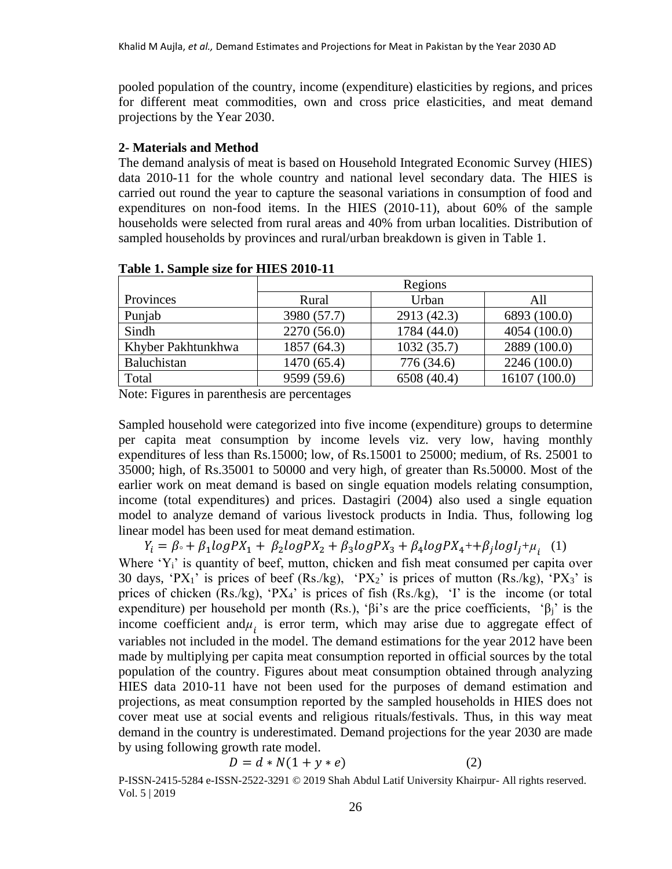pooled population of the country, income (expenditure) elasticities by regions, and prices for different meat commodities, own and cross price elasticities, and meat demand projections by the Year 2030.

#### **2- Materials and Method**

The demand analysis of meat is based on Household Integrated Economic Survey (HIES) data 2010-11 for the whole country and national level secondary data. The HIES is carried out round the year to capture the seasonal variations in consumption of food and expenditures on non-food items. In the HIES (2010-11), about 60% of the sample households were selected from rural areas and 40% from urban localities. Distribution of sampled households by provinces and rural/urban breakdown is given in Table 1.

|                    | Regions     |             |               |  |  |
|--------------------|-------------|-------------|---------------|--|--|
| Provinces          | Rural       | Urban       | All           |  |  |
| Punjab             | 3980 (57.7) | 2913 (42.3) | 6893 (100.0)  |  |  |
| Sindh              | 2270 (56.0) | 1784 (44.0) | 4054 (100.0)  |  |  |
| Khyber Pakhtunkhwa | 1857 (64.3) | 1032(35.7)  | 2889 (100.0)  |  |  |
| Baluchistan        | 1470 (65.4) | 776 (34.6)  | 2246 (100.0)  |  |  |
| Total              | 9599 (59.6) | 6508 (40.4) | 16107 (100.0) |  |  |

**Table 1. Sample size for HIES 2010-11**

Note: Figures in parenthesis are percentages

Sampled household were categorized into five income (expenditure) groups to determine per capita meat consumption by income levels viz. very low, having monthly expenditures of less than Rs.15000; low, of Rs.15001 to 25000; medium, of Rs. 25001 to 35000; high, of Rs.35001 to 50000 and very high, of greater than Rs.50000. Most of the earlier work on meat demand is based on single equation models relating consumption, income (total expenditures) and prices. Dastagiri (2004) also used a single equation model to analyze demand of various livestock products in India. Thus, following log linear model has been used for meat demand estimation.

 $Y_i = \beta \cdot + \beta_1 logPX_1 + \beta_2 logPX_2 + \beta_3 logPX_3 + \beta_4 logPX_4 + \beta_j logI_j + \mu_i$  (1) Where 'Y<sub>i</sub>' is quantity of beef, mutton, chicken and fish meat consumed per capita over 30 days, 'PX<sub>1</sub>' is prices of beef (Rs./kg), 'PX<sub>2</sub>' is prices of mutton (Rs./kg), 'PX<sub>3</sub>' is prices of chicken  $(Rs./kg)$ , 'PX<sub>4</sub>' is prices of fish  $(Rs./kg)$ , 'I' is the income (or total expenditure) per household per month (Rs.), 'βi's are the price coefficients, 'β<sub>j</sub>' is the income coefficient and $\mu_i$  is error term, which may arise due to aggregate effect of variables not included in the model. The demand estimations for the year 2012 have been made by multiplying per capita meat consumption reported in official sources by the total population of the country. Figures about meat consumption obtained through analyzing HIES data 2010-11 have not been used for the purposes of demand estimation and projections, as meat consumption reported by the sampled households in HIES does not cover meat use at social events and religious rituals/festivals. Thus, in this way meat demand in the country is underestimated. Demand projections for the year 2030 are made by using following growth rate model.

$$
D = d * N(1 + y * e)
$$
 (2)

P-ISSN-2415-5284 e-ISSN-2522-3291 © 2019 Shah Abdul Latif University Khairpur- All rights reserved. Vol. 5 | 2019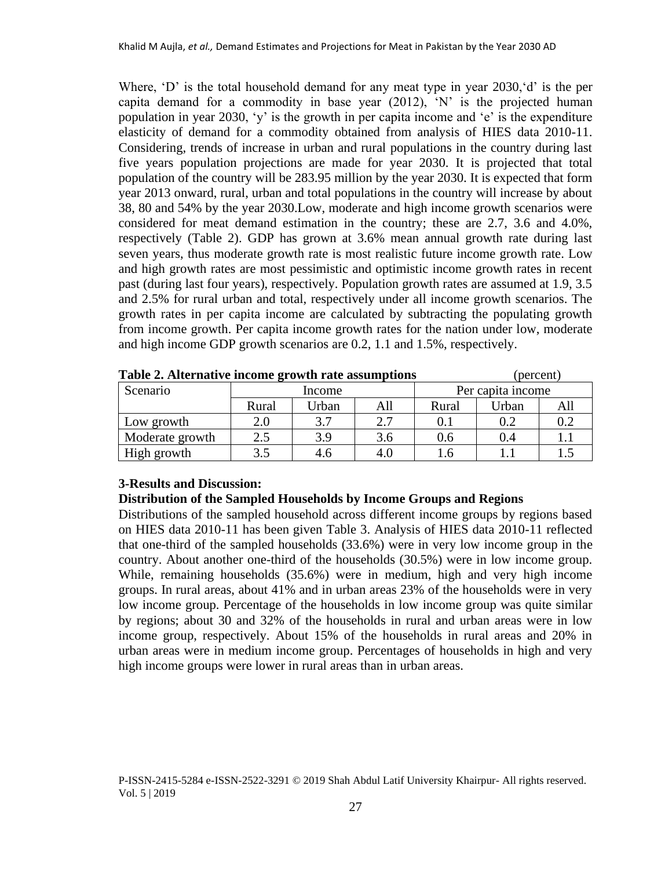Where, 'D' is the total household demand for any meat type in year 2030, 'd' is the per capita demand for a commodity in base year  $(2012)$ , 'N' is the projected human population in year 2030, 'y' is the growth in per capita income and 'e' is the expenditure elasticity of demand for a commodity obtained from analysis of HIES data 2010-11. Considering, trends of increase in urban and rural populations in the country during last five years population projections are made for year 2030. It is projected that total population of the country will be 283.95 million by the year 2030. It is expected that form year 2013 onward, rural, urban and total populations in the country will increase by about 38, 80 and 54% by the year 2030.Low, moderate and high income growth scenarios were considered for meat demand estimation in the country; these are 2.7, 3.6 and 4.0%, respectively (Table 2). GDP has grown at 3.6% mean annual growth rate during last seven years, thus moderate growth rate is most realistic future income growth rate. Low and high growth rates are most pessimistic and optimistic income growth rates in recent past (during last four years), respectively. Population growth rates are assumed at 1.9, 3.5 and 2.5% for rural urban and total, respectively under all income growth scenarios. The growth rates in per capita income are calculated by subtracting the populating growth from income growth. Per capita income growth rates for the nation under low, moderate and high income GDP growth scenarios are 0.2, 1.1 and 1.5%, respectively.

| <b>Table 2. Alternative income growth rate assumptions</b> |        |       | (percent) |       |                   |     |
|------------------------------------------------------------|--------|-------|-----------|-------|-------------------|-----|
| Scenario                                                   | Income |       |           |       | Per capita income |     |
|                                                            | Rural  | Urban | All       | Rural | Urban             | All |
| Low growth                                                 | 2.0    | 3.7   | 2.7       |       | 0.2               | 0.2 |
| Moderate growth                                            | 2.5    | 3.9   | 3.6       | 0.6   | 0.4               |     |
| High growth                                                | 3.5    | 4.6   | 4.0       | l.6   |                   |     |

**Table 2. Alternative income growth rate assumptions** (percent)

# **3-Results and Discussion:**

# **Distribution of the Sampled Households by Income Groups and Regions**

Distributions of the sampled household across different income groups by regions based on HIES data 2010-11 has been given Table 3. Analysis of HIES data 2010-11 reflected that one-third of the sampled households (33.6%) were in very low income group in the country. About another one-third of the households (30.5%) were in low income group. While, remaining households (35.6%) were in medium, high and very high income groups. In rural areas, about 41% and in urban areas 23% of the households were in very low income group. Percentage of the households in low income group was quite similar by regions; about 30 and 32% of the households in rural and urban areas were in low income group, respectively. About 15% of the households in rural areas and 20% in urban areas were in medium income group. Percentages of households in high and very high income groups were lower in rural areas than in urban areas.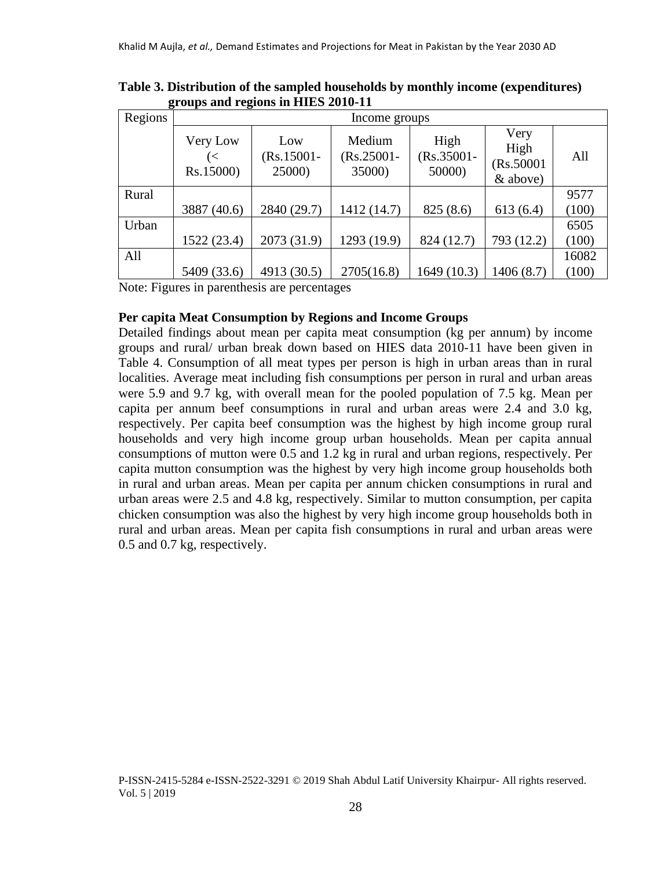| Regions | Income groups               |                                |                                   |                                 |                                        |       |  |
|---------|-----------------------------|--------------------------------|-----------------------------------|---------------------------------|----------------------------------------|-------|--|
|         | Very Low<br>(<<br>Rs.15000) | Low<br>$(Rs.15001 -$<br>25000) | Medium<br>$(Rs.25001 -$<br>35000) | High<br>$(Rs.35001 -$<br>50000) | Very<br>High<br>(Rs.50001)<br>& above) | All   |  |
| Rural   |                             |                                |                                   |                                 |                                        | 9577  |  |
|         | 3887 (40.6)                 | 2840 (29.7)                    | 1412 (14.7)                       | 825 (8.6)                       | 613(6.4)                               | (100) |  |
| Urban   |                             |                                |                                   |                                 |                                        | 6505  |  |
|         | 1522 (23.4)                 | 2073 (31.9)                    | 1293 (19.9)                       | 824 (12.7)                      | 793 (12.2)                             | (100) |  |
| All     |                             |                                |                                   |                                 |                                        | 16082 |  |
|         | 5409 (33.6)                 | 4913 (30.5)                    | 2705(16.8)                        | 1649 (10.3)                     | 1406 (8.7)                             | (100) |  |

**Table 3. Distribution of the sampled households by monthly income (expenditures) groups and regions in HIES 2010-11**

Note: Figures in parenthesis are percentages

### **Per capita Meat Consumption by Regions and Income Groups**

Detailed findings about mean per capita meat consumption (kg per annum) by income groups and rural/ urban break down based on HIES data 2010-11 have been given in Table 4. Consumption of all meat types per person is high in urban areas than in rural localities. Average meat including fish consumptions per person in rural and urban areas were 5.9 and 9.7 kg, with overall mean for the pooled population of 7.5 kg. Mean per capita per annum beef consumptions in rural and urban areas were 2.4 and 3.0 kg, respectively. Per capita beef consumption was the highest by high income group rural households and very high income group urban households. Mean per capita annual consumptions of mutton were 0.5 and 1.2 kg in rural and urban regions, respectively. Per capita mutton consumption was the highest by very high income group households both in rural and urban areas. Mean per capita per annum chicken consumptions in rural and urban areas were 2.5 and 4.8 kg, respectively. Similar to mutton consumption, per capita chicken consumption was also the highest by very high income group households both in rural and urban areas. Mean per capita fish consumptions in rural and urban areas were 0.5 and 0.7 kg, respectively.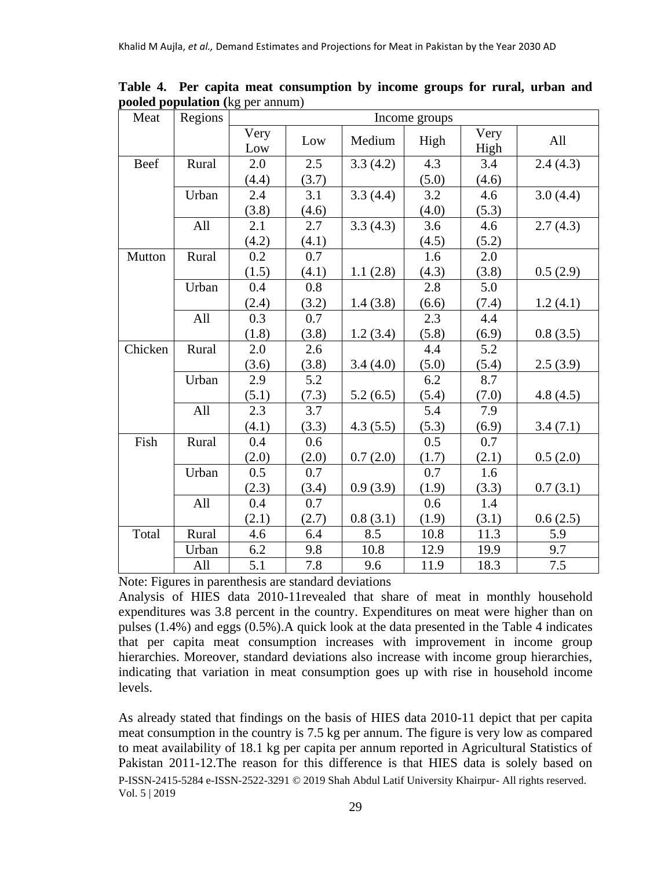| Meat    | Regions | Income groups |       |          |       |              |          |
|---------|---------|---------------|-------|----------|-------|--------------|----------|
|         |         | Very<br>Low   | Low   | Medium   | High  | Very<br>High | All      |
| Beef    | Rural   | 2.0           | 2.5   | 3.3(4.2) | 4.3   | 3.4          | 2.4(4.3) |
|         |         | (4.4)         | (3.7) |          | (5.0) | (4.6)        |          |
|         | Urban   | 2.4           | 3.1   | 3.3(4.4) | 3.2   | 4.6          | 3.0(4.4) |
|         |         | (3.8)         | (4.6) |          | (4.0) | (5.3)        |          |
|         | All     | 2.1           | 2.7   | 3.3(4.3) | 3.6   | 4.6          | 2.7(4.3) |
|         |         | (4.2)         | (4.1) |          | (4.5) | (5.2)        |          |
| Mutton  | Rural   | 0.2           | 0.7   |          | 1.6   | 2.0          |          |
|         |         | (1.5)         | (4.1) | 1.1(2.8) | (4.3) | (3.8)        | 0.5(2.9) |
|         | Urban   | 0.4           | 0.8   |          | 2.8   | 5.0          |          |
|         |         | (2.4)         | (3.2) | 1.4(3.8) | (6.6) | (7.4)        | 1.2(4.1) |
|         | All     | 0.3           | 0.7   |          | 2.3   | 4.4          |          |
|         |         | (1.8)         | (3.8) | 1.2(3.4) | (5.8) | (6.9)        | 0.8(3.5) |
| Chicken | Rural   | 2.0           | 2.6   |          | 4.4   | 5.2          |          |
|         |         | (3.6)         | (3.8) | 3.4(4.0) | (5.0) | (5.4)        | 2.5(3.9) |
|         | Urban   | 2.9           | 5.2   |          | 6.2   | 8.7          |          |
|         |         | (5.1)         | (7.3) | 5.2(6.5) | (5.4) | (7.0)        | 4.8(4.5) |
|         | All     | 2.3           | 3.7   |          | 5.4   | 7.9          |          |
|         |         | (4.1)         | (3.3) | 4.3(5.5) | (5.3) | (6.9)        | 3.4(7.1) |
| Fish    | Rural   | 0.4           | 0.6   |          | 0.5   | 0.7          |          |
|         |         | (2.0)         | (2.0) | 0.7(2.0) | (1.7) | (2.1)        | 0.5(2.0) |
|         | Urban   | 0.5           | 0.7   |          | 0.7   | 1.6          |          |
|         |         | (2.3)         | (3.4) | 0.9(3.9) | (1.9) | (3.3)        | 0.7(3.1) |
|         | All     | 0.4           | 0.7   |          | 0.6   | 1.4          |          |
|         |         | (2.1)         | (2.7) | 0.8(3.1) | (1.9) | (3.1)        | 0.6(2.5) |
| Total   | Rural   | 4.6           | 6.4   | 8.5      | 10.8  | 11.3         | 5.9      |
|         | Urban   | 6.2           | 9.8   | 10.8     | 12.9  | 19.9         | 9.7      |
|         | All     | 5.1           | 7.8   | 9.6      | 11.9  | 18.3         | 7.5      |

**Table 4. Per capita meat consumption by income groups for rural, urban and pooled population (**kg per annum)

Note: Figures in parenthesis are standard deviations

Analysis of HIES data 2010-11revealed that share of meat in monthly household expenditures was 3.8 percent in the country. Expenditures on meat were higher than on pulses (1.4%) and eggs (0.5%).A quick look at the data presented in the Table 4 indicates that per capita meat consumption increases with improvement in income group hierarchies. Moreover, standard deviations also increase with income group hierarchies, indicating that variation in meat consumption goes up with rise in household income levels.

P-ISSN-2415-5284 e-ISSN-2522-3291 © 2019 Shah Abdul Latif University Khairpur- All rights reserved. Vol. 5 | 2019 As already stated that findings on the basis of HIES data 2010-11 depict that per capita meat consumption in the country is 7.5 kg per annum. The figure is very low as compared to meat availability of 18.1 kg per capita per annum reported in Agricultural Statistics of Pakistan 2011-12.The reason for this difference is that HIES data is solely based on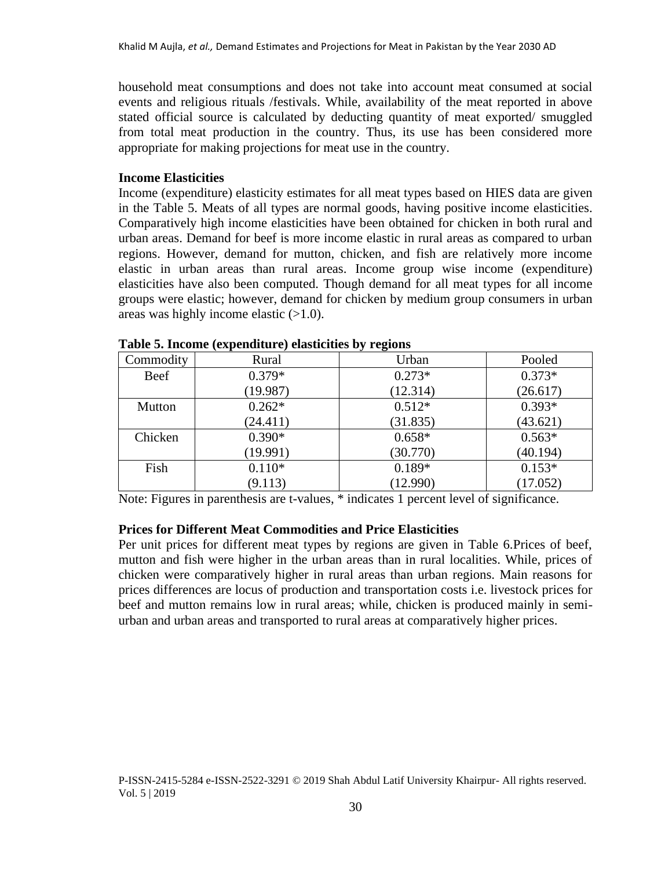household meat consumptions and does not take into account meat consumed at social events and religious rituals /festivals. While, availability of the meat reported in above stated official source is calculated by deducting quantity of meat exported/ smuggled from total meat production in the country. Thus, its use has been considered more appropriate for making projections for meat use in the country.

## **Income Elasticities**

Income (expenditure) elasticity estimates for all meat types based on HIES data are given in the Table 5. Meats of all types are normal goods, having positive income elasticities. Comparatively high income elasticities have been obtained for chicken in both rural and urban areas. Demand for beef is more income elastic in rural areas as compared to urban regions. However, demand for mutton, chicken, and fish are relatively more income elastic in urban areas than rural areas. Income group wise income (expenditure) elasticities have also been computed. Though demand for all meat types for all income groups were elastic; however, demand for chicken by medium group consumers in urban areas was highly income elastic  $(>1.0)$ .

| Commodity | Rural    | Urban    | Pooled   |
|-----------|----------|----------|----------|
| Beef      | $0.379*$ | $0.273*$ | $0.373*$ |
|           | (19.987) | (12.314) | (26.617) |
| Mutton    | $0.262*$ | $0.512*$ | $0.393*$ |
|           | (24.411) | (31.835) | (43.621) |
| Chicken   | $0.390*$ | $0.658*$ | $0.563*$ |
|           | (19.991) | (30.770) | (40.194) |
| Fish      | $0.110*$ | $0.189*$ | $0.153*$ |
|           | (9.113)  | (12.990) | (17.052) |

| Table 5. Income (expenditure) elasticities by regions |  |  |
|-------------------------------------------------------|--|--|
|-------------------------------------------------------|--|--|

Note: Figures in parenthesis are t-values, \* indicates 1 percent level of significance.

#### **Prices for Different Meat Commodities and Price Elasticities**

Per unit prices for different meat types by regions are given in Table 6.Prices of beef, mutton and fish were higher in the urban areas than in rural localities. While, prices of chicken were comparatively higher in rural areas than urban regions. Main reasons for prices differences are locus of production and transportation costs i.e. livestock prices for beef and mutton remains low in rural areas; while, chicken is produced mainly in semiurban and urban areas and transported to rural areas at comparatively higher prices.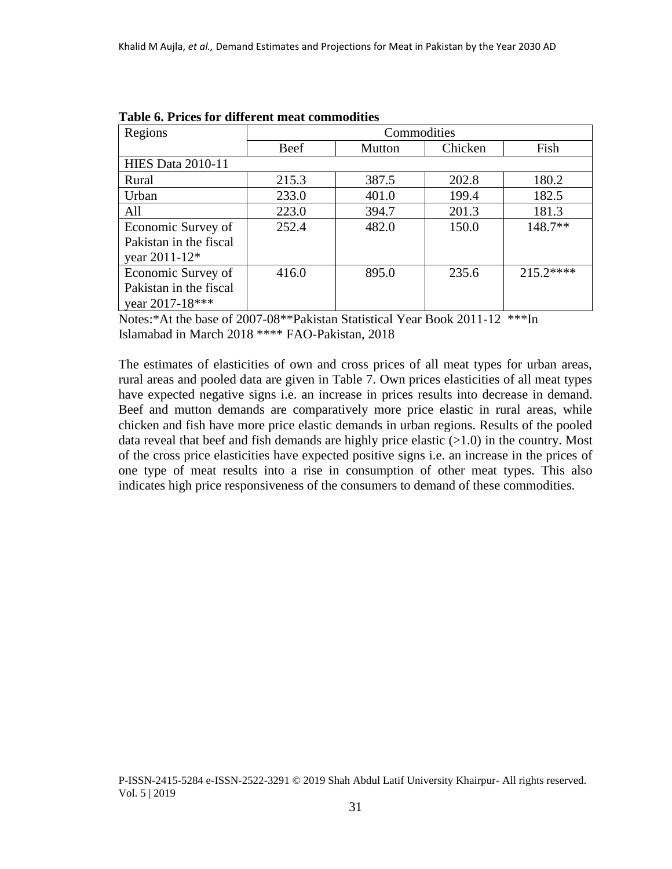| Regions                   | Commodities |        |         |            |  |  |
|---------------------------|-------------|--------|---------|------------|--|--|
|                           | Beef        | Mutton | Chicken | Fish       |  |  |
| <b>HIES</b> Data 2010-11  |             |        |         |            |  |  |
| Rural                     | 215.3       | 387.5  | 202.8   | 180.2      |  |  |
| Urban                     | 233.0       | 401.0  | 199.4   | 182.5      |  |  |
| All                       | 223.0       | 394.7  | 201.3   | 181.3      |  |  |
| Economic Survey of        | 252.4       | 482.0  | 150.0   | $148.7**$  |  |  |
| Pakistan in the fiscal    |             |        |         |            |  |  |
| year 2011-12 <sup>*</sup> |             |        |         |            |  |  |
| Economic Survey of        | 416.0       | 895.0  | 235.6   | $215.2***$ |  |  |
| Pakistan in the fiscal    |             |        |         |            |  |  |
| year 2017-18***           |             |        |         |            |  |  |

**Table 6. Prices for different meat commodities** 

Notes:\*At the base of 2007-08\*\*Pakistan Statistical Year Book 2011-12 \*\*\*In Islamabad in March 2018 \*\*\*\* FAO-Pakistan, 2018

The estimates of elasticities of own and cross prices of all meat types for urban areas, rural areas and pooled data are given in Table 7. Own prices elasticities of all meat types have expected negative signs i.e. an increase in prices results into decrease in demand. Beef and mutton demands are comparatively more price elastic in rural areas, while chicken and fish have more price elastic demands in urban regions. Results of the pooled data reveal that beef and fish demands are highly price elastic  $(>1.0)$  in the country. Most of the cross price elasticities have expected positive signs i.e. an increase in the prices of one type of meat results into a rise in consumption of other meat types. This also indicates high price responsiveness of the consumers to demand of these commodities.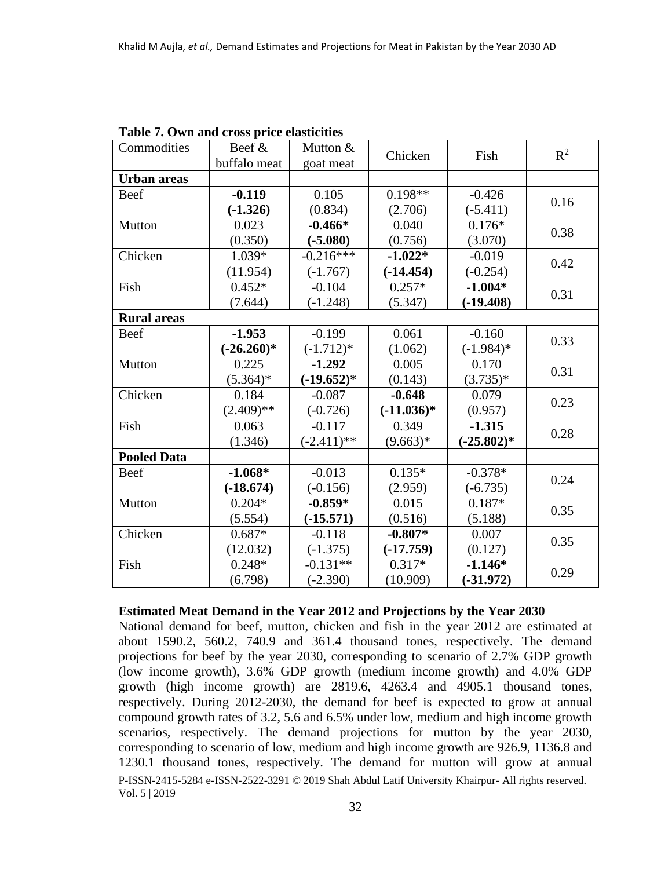| Commodities        | Beef &       | Mutton &      | Chicken      | Fish          | $R^2$ |
|--------------------|--------------|---------------|--------------|---------------|-------|
|                    | buffalo meat | goat meat     |              |               |       |
| <b>Urban</b> areas |              |               |              |               |       |
| Beef               | $-0.119$     | 0.105         | $0.198**$    | $-0.426$      | 0.16  |
|                    | $(-1.326)$   | (0.834)       | (2.706)      | $(-5.411)$    |       |
| Mutton             | 0.023        | $-0.466*$     | 0.040        | $0.176*$      | 0.38  |
|                    | (0.350)      | $(-5.080)$    | (0.756)      | (3.070)       |       |
| Chicken            | 1.039*       | $-0.216***$   | $-1.022*$    | $-0.019$      | 0.42  |
|                    | (11.954)     | $(-1.767)$    | $(-14.454)$  | $(-0.254)$    |       |
| Fish               | $0.452*$     | $-0.104$      | $0.257*$     | $-1.004*$     |       |
|                    | (7.644)      | $(-1.248)$    | (5.347)      | $(-19.408)$   | 0.31  |
| <b>Rural areas</b> |              |               |              |               |       |
| Beef               | $-1.953$     | $-0.199$      | 0.061        | $-0.160$      | 0.33  |
|                    | $(-26.260)*$ | $(-1.712)*$   | (1.062)      | $(-1.984)*$   |       |
| Mutton             | 0.225        | $-1.292$      | 0.005        | 0.170         | 0.31  |
|                    | $(5.364)*$   | $(-19.652)*$  | (0.143)      | $(3.735)^*$   |       |
| Chicken            | 0.184        | $-0.087$      | $-0.648$     | 0.079         | 0.23  |
|                    | $(2.409)$ ** | $(-0.726)$    | $(-11.036)*$ | (0.957)       |       |
| Fish               | 0.063        | $-0.117$      | 0.349        | $-1.315$      | 0.28  |
|                    | (1.346)      | $(-2.411)$ ** | $(9.663)*$   | $(-25.802)^*$ |       |
| <b>Pooled Data</b> |              |               |              |               |       |
| Beef               | $-1.068*$    | $-0.013$      | $0.135*$     | $-0.378*$     | 0.24  |
|                    | $(-18.674)$  | $(-0.156)$    | (2.959)      | $(-6.735)$    |       |
| Mutton             | $0.204*$     | $-0.859*$     | 0.015        | $0.187*$      | 0.35  |
|                    | (5.554)      | $(-15.571)$   | (0.516)      | (5.188)       |       |
| Chicken            | $0.687*$     | $-0.118$      | $-0.807*$    | 0.007         | 0.35  |
|                    | (12.032)     | $(-1.375)$    | $(-17.759)$  | (0.127)       |       |
| Fish               | $0.248*$     | $-0.131**$    | $0.317*$     | $-1.146*$     | 0.29  |
|                    | (6.798)      | $(-2.390)$    | (10.909)     | $(-31.972)$   |       |

**Table 7. Own and cross price elasticities**

#### **Estimated Meat Demand in the Year 2012 and Projections by the Year 2030**

P-ISSN-2415-5284 e-ISSN-2522-3291 © 2019 Shah Abdul Latif University Khairpur- All rights reserved. Vol. 5 | 2019 National demand for beef, mutton, chicken and fish in the year 2012 are estimated at about 1590.2, 560.2, 740.9 and 361.4 thousand tones, respectively. The demand projections for beef by the year 2030, corresponding to scenario of 2.7% GDP growth (low income growth), 3.6% GDP growth (medium income growth) and 4.0% GDP growth (high income growth) are 2819.6, 4263.4 and 4905.1 thousand tones, respectively. During 2012-2030, the demand for beef is expected to grow at annual compound growth rates of 3.2, 5.6 and 6.5% under low, medium and high income growth scenarios, respectively. The demand projections for mutton by the year 2030, corresponding to scenario of low, medium and high income growth are 926.9, 1136.8 and 1230.1 thousand tones, respectively. The demand for mutton will grow at annual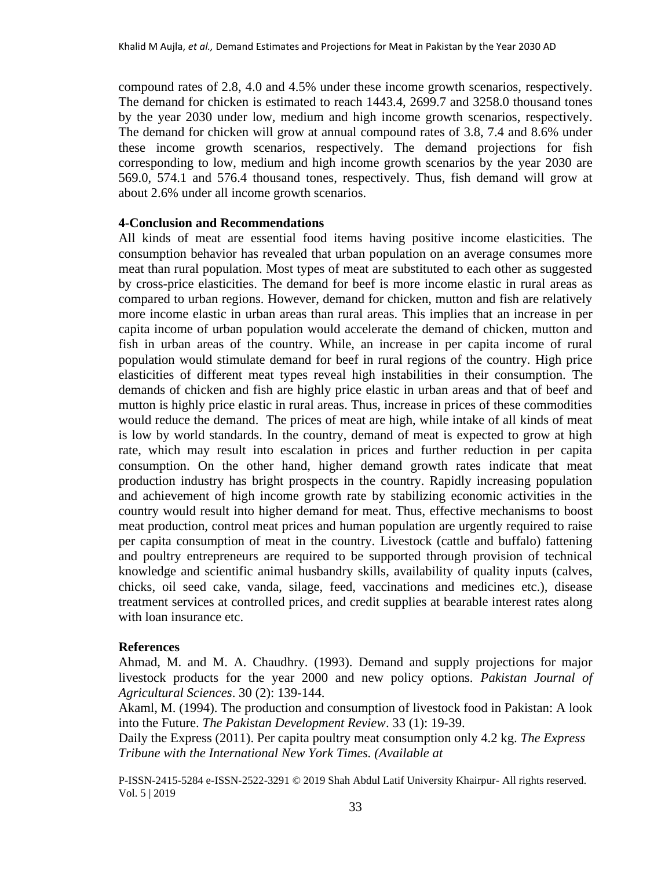compound rates of 2.8, 4.0 and 4.5% under these income growth scenarios, respectively. The demand for chicken is estimated to reach 1443.4, 2699.7 and 3258.0 thousand tones by the year 2030 under low, medium and high income growth scenarios, respectively. The demand for chicken will grow at annual compound rates of 3.8, 7.4 and 8.6% under these income growth scenarios, respectively. The demand projections for fish corresponding to low, medium and high income growth scenarios by the year 2030 are 569.0, 574.1 and 576.4 thousand tones, respectively. Thus, fish demand will grow at about 2.6% under all income growth scenarios.

#### **4-Conclusion and Recommendations**

All kinds of meat are essential food items having positive income elasticities. The consumption behavior has revealed that urban population on an average consumes more meat than rural population. Most types of meat are substituted to each other as suggested by cross-price elasticities. The demand for beef is more income elastic in rural areas as compared to urban regions. However, demand for chicken, mutton and fish are relatively more income elastic in urban areas than rural areas. This implies that an increase in per capita income of urban population would accelerate the demand of chicken, mutton and fish in urban areas of the country. While, an increase in per capita income of rural population would stimulate demand for beef in rural regions of the country. High price elasticities of different meat types reveal high instabilities in their consumption. The demands of chicken and fish are highly price elastic in urban areas and that of beef and mutton is highly price elastic in rural areas. Thus, increase in prices of these commodities would reduce the demand. The prices of meat are high, while intake of all kinds of meat is low by world standards. In the country, demand of meat is expected to grow at high rate, which may result into escalation in prices and further reduction in per capita consumption. On the other hand, higher demand growth rates indicate that meat production industry has bright prospects in the country. Rapidly increasing population and achievement of high income growth rate by stabilizing economic activities in the country would result into higher demand for meat. Thus, effective mechanisms to boost meat production, control meat prices and human population are urgently required to raise per capita consumption of meat in the country. Livestock (cattle and buffalo) fattening and poultry entrepreneurs are required to be supported through provision of technical knowledge and scientific animal husbandry skills, availability of quality inputs (calves, chicks, oil seed cake, vanda, silage, feed, vaccinations and medicines etc.), disease treatment services at controlled prices, and credit supplies at bearable interest rates along with loan insurance etc.

#### **References**

Ahmad, M. and M. A. Chaudhry. (1993). Demand and supply projections for major livestock products for the year 2000 and new policy options. *Pakistan Journal of Agricultural Sciences*. 30 (2): 139-144.

Akaml, M. (1994). The production and consumption of livestock food in Pakistan: A look into the Future. *The Pakistan Development Review*. 33 (1): 19-39.

Daily the Express (2011). Per capita poultry meat consumption only 4.2 kg. *The Express Tribune with the International New York Times. (Available at* 

P-ISSN-2415-5284 e-ISSN-2522-3291 © 2019 Shah Abdul Latif University Khairpur- All rights reserved. Vol. 5 | 2019